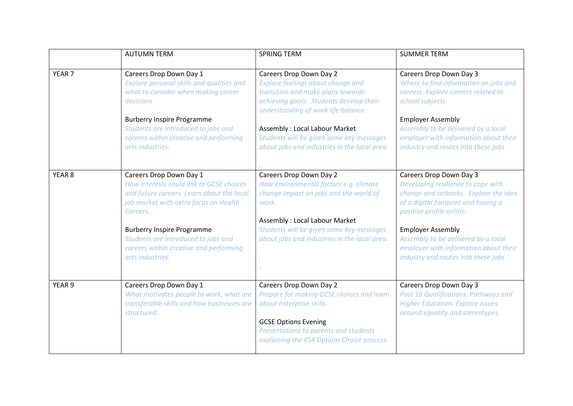|                   | <b>AUTUMN TERM</b>                                                                                                                                                    | <b>SPRING TERM</b>                                                                                                                                                                                                     | <b>SUMMER TERM</b>                                                                                                                                                        |
|-------------------|-----------------------------------------------------------------------------------------------------------------------------------------------------------------------|------------------------------------------------------------------------------------------------------------------------------------------------------------------------------------------------------------------------|---------------------------------------------------------------------------------------------------------------------------------------------------------------------------|
| YEAR <sub>7</sub> | Careers Drop Down Day 1<br>Explore personal skills and qualities and<br>what to consider when making career<br>decisions                                              | Careers Drop Down Day 2<br>Explore feelings about change and<br>transition and make plans towards<br>achieving goals. Students develop their<br>understanding of work life balance.                                    | Careers Drop Down Day 3<br>Where to find information on jobs and<br>careers. Explore careers related to<br>school subjects.                                               |
|                   | <b>Burberry Inspire Programme</b><br>Students are introduced to jobs and<br>careers within creative and performing<br>arts industries.                                | Assembly: Local Labour Market<br>Students will be given some key messages<br>about jobs and industries in the local area.                                                                                              | <b>Employer Assembly</b><br>Assembly to be delivered by a local<br>employer with information about their<br>industry and routes into these jobs                           |
| YEAR <sub>8</sub> | Careers Drop Down Day 1<br>How interests could link to GCSE choices<br>and future careers. Learn about the local<br>job market with extra focus on Health<br>Careers. | Careers Drop Down Day 2<br>How environmental factors e.g. climate<br>change impact on jobs and the world of<br>work.<br>Assembly: Local Labour Market                                                                  | Careers Drop Down Day 3<br>Developing resilience to cope with<br>change and setbacks. Explore the idea<br>of a digital footprint and having a<br>positive profile online. |
|                   | <b>Burberry Inspire Programme</b><br>Students are introduced to jobs and<br>careers within creative and performing<br>arts industries.                                | Students will be given some key messages<br>about jobs and industries in the local area.                                                                                                                               | <b>Employer Assembly</b><br>Assembly to be delivered by a local<br>employer with information about their<br>industry and routes into these jobs                           |
| YEAR <sub>9</sub> | Careers Drop Down Day 1<br>What motivates people to work, what are<br>transferable skills and how businesses are<br>structured.                                       | Careers Drop Down Day 2<br>Prepare for making GCSE choices and learn<br>about enterprise skills.<br><b>GCSE Options Evening</b><br>Presentations to parents and students<br>explaining the KS4 Options Choice process. | Careers Drop Down Day 3<br>Post 16 Qualifications, Pathways and<br><b>Higher Education. Explore issues</b><br>around equality and stereotypes.                            |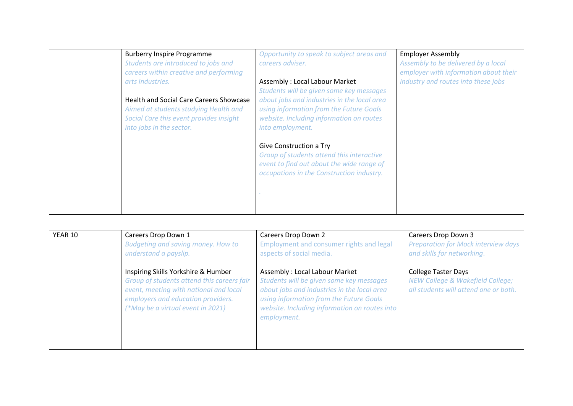| <b>Burberry Inspire Programme</b><br>Students are introduced to jobs and<br>careers within creative and performing                                                                 | Opportunity to speak to subject areas and<br>careers adviser.                                                                                                                                                                       | <b>Employer Assembly</b><br>Assembly to be delivered by a local<br>employer with information about their |
|------------------------------------------------------------------------------------------------------------------------------------------------------------------------------------|-------------------------------------------------------------------------------------------------------------------------------------------------------------------------------------------------------------------------------------|----------------------------------------------------------------------------------------------------------|
| arts industries.<br><b>Health and Social Care Careers Showcase</b><br>Aimed at students studying Health and<br>Social Care this event provides insight<br>into jobs in the sector. | Assembly: Local Labour Market<br>Students will be given some key messages<br>about jobs and industries in the local area<br>using information from the Future Goals<br>website. Including information on routes<br>into employment. | industry and routes into these jobs                                                                      |
|                                                                                                                                                                                    | Give Construction a Try<br>Group of students attend this interactive<br>event to find out about the wide range of<br>occupations in the Construction industry.                                                                      |                                                                                                          |

| YEAR 10 | Careers Drop Down 1                                                                                                                                                                                    | Careers Drop Down 2                                                                                                                                                                                                                 | Careers Drop Down 3                                                                                                |
|---------|--------------------------------------------------------------------------------------------------------------------------------------------------------------------------------------------------------|-------------------------------------------------------------------------------------------------------------------------------------------------------------------------------------------------------------------------------------|--------------------------------------------------------------------------------------------------------------------|
|         | Budgeting and saving money. How to                                                                                                                                                                     | Employment and consumer rights and legal                                                                                                                                                                                            | <b>Preparation for Mock interview days</b>                                                                         |
|         | understand a payslip.                                                                                                                                                                                  | aspects of social media.                                                                                                                                                                                                            | and skills for networking.                                                                                         |
|         | Inspiring Skills Yorkshire & Humber<br>Group of students attend this careers fair<br>event, meeting with national and local<br>employers and education providers.<br>(*May be a virtual event in 2021) | Assembly: Local Labour Market<br>Students will be given some key messages<br>about jobs and industries in the local area<br>using information from the Future Goals<br>website. Including information on routes into<br>employment. | <b>College Taster Days</b><br><b>NEW College &amp; Wakefield College;</b><br>all students will attend one or both. |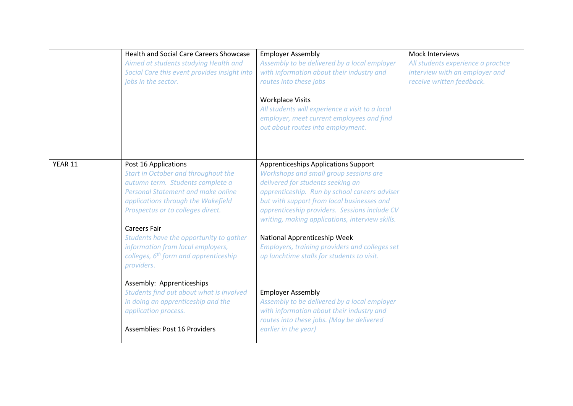|         | <b>Health and Social Care Careers Showcase</b><br>Aimed at students studying Health and<br>Social Care this event provides insight into<br>jobs in the sector.                                                                                 | <b>Employer Assembly</b><br>Assembly to be delivered by a local employer<br>with information about their industry and<br>routes into these jobs<br><b>Workplace Visits</b><br>All students will experience a visit to a local<br>employer, meet current employees and find<br>out about routes into employment.               | Mock Interviews<br>All students experience a practice<br>interview with an employer and<br>receive written feedback. |
|---------|------------------------------------------------------------------------------------------------------------------------------------------------------------------------------------------------------------------------------------------------|-------------------------------------------------------------------------------------------------------------------------------------------------------------------------------------------------------------------------------------------------------------------------------------------------------------------------------|----------------------------------------------------------------------------------------------------------------------|
| YEAR 11 | Post 16 Applications<br>Start in October and throughout the<br>autumn term. Students complete a<br><b>Personal Statement and make online</b><br>applications through the Wakefield<br>Prospectus or to colleges direct.<br><b>Careers Fair</b> | <b>Apprenticeships Applications Support</b><br>Workshops and small group sessions are<br>delivered for students seeking an<br>apprenticeship. Run by school careers adviser<br>but with support from local businesses and<br>apprenticeship providers. Sessions include CV<br>writing, making applications, interview skills. |                                                                                                                      |
|         | Students have the opportunity to gather<br>information from local employers,<br>colleges, $6th$ form and apprenticeship<br>providers.                                                                                                          | National Apprenticeship Week<br><b>Employers, training providers and colleges set</b><br>up lunchtime stalls for students to visit.                                                                                                                                                                                           |                                                                                                                      |
|         | Assembly: Apprenticeships<br>Students find out about what is involved<br>in doing an apprenticeship and the<br>application process.<br>Assemblies: Post 16 Providers                                                                           | <b>Employer Assembly</b><br>Assembly to be delivered by a local employer<br>with information about their industry and<br>routes into these jobs. (May be delivered<br>earlier in the year)                                                                                                                                    |                                                                                                                      |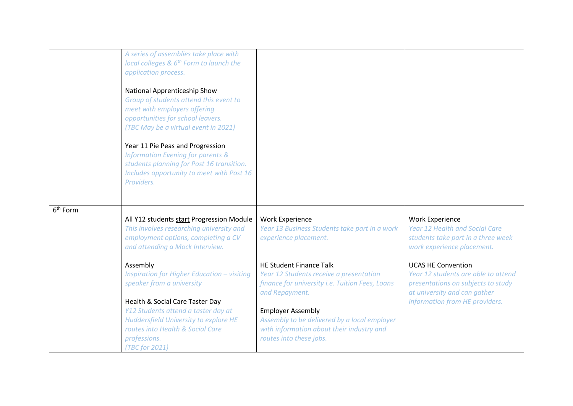|                      | A series of assemblies take place with<br>local colleges & 6 <sup>th</sup> Form to launch the<br>application process.<br>National Apprenticeship Show<br>Group of students attend this event to<br>meet with employers offering<br>opportunities for school leavers.<br>(TBC May be a virtual event in 2021) |                                                                                                                                                  |                                                                                                                                                                          |
|----------------------|--------------------------------------------------------------------------------------------------------------------------------------------------------------------------------------------------------------------------------------------------------------------------------------------------------------|--------------------------------------------------------------------------------------------------------------------------------------------------|--------------------------------------------------------------------------------------------------------------------------------------------------------------------------|
|                      | Year 11 Pie Peas and Progression<br><b>Information Evening for parents &amp;</b><br>students planning for Post 16 transition.<br>Includes opportunity to meet with Post 16<br>Providers.                                                                                                                     |                                                                                                                                                  |                                                                                                                                                                          |
| 6 <sup>th</sup> Form | All Y12 students start Progression Module<br>This involves researching university and<br>employment options, completing a CV<br>and attending a Mock Interview.                                                                                                                                              | <b>Work Experience</b><br>Year 13 Business Students take part in a work<br>experience placement.                                                 | <b>Work Experience</b><br><b>Year 12 Health and Social Care</b><br>students take part in a three week<br>work experience placement.                                      |
|                      | Assembly<br><b>Inspiration for Higher Education - visiting</b><br>speaker from a university<br>Health & Social Care Taster Day                                                                                                                                                                               | <b>HE Student Finance Talk</b><br>Year 12 Students receive a presentation<br>finance for university i.e. Tuition Fees, Loans<br>and Repayment.   | <b>UCAS HE Convention</b><br>Year 12 students are able to attend<br>presentations on subjects to study<br>at university and can gather<br>information from HE providers. |
|                      | Y12 Students attend a taster day at<br>Huddersfield University to explore HE<br>routes into Health & Social Care<br>professions.<br>(TBC for 2021)                                                                                                                                                           | <b>Employer Assembly</b><br>Assembly to be delivered by a local employer<br>with information about their industry and<br>routes into these jobs. |                                                                                                                                                                          |